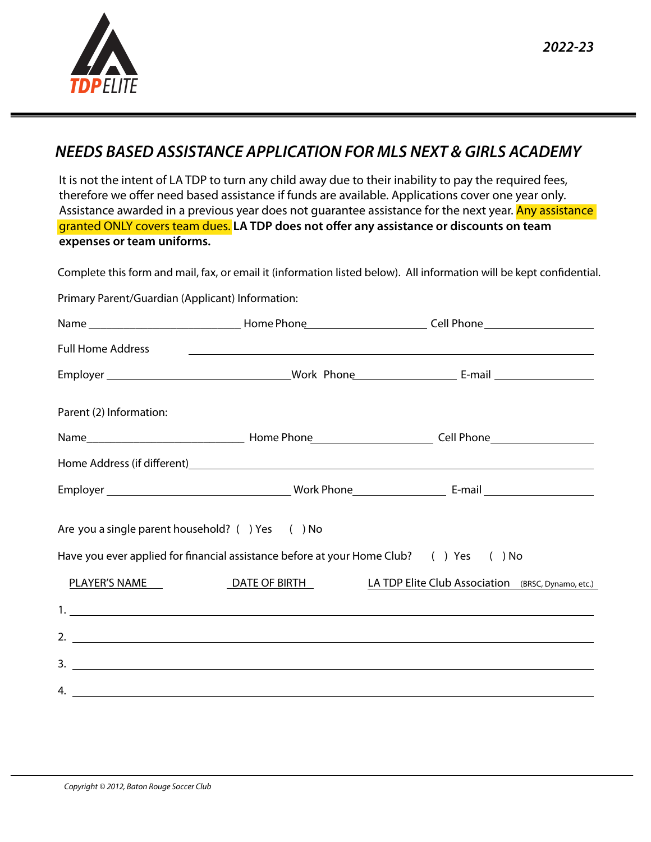

## *NEEDS BASED ASSISTANCE APPLICATION FOR MLS NEXT & GIRLS ACADEMY*

It is not the intent of LA TDP to turn any child away due to their inability to pay the required fees, therefore we offer need based assistance if funds are available. Applications cover one year only. Assistance awarded in a previous year does not quarantee assistance for the next year. Any assistance granted ONLY covers team dues. LA TDP does not offer any assistance or discounts on team **expenses or team uniforms.**

Complete this form and mail, fax, or email it (information listed below). All information will be kept confidential.

Primary Parent/Guardian (Applicant) Information:

|                                                 |                                                                                       | Full Home Address <b>Full Home Address</b> |  |
|-------------------------------------------------|---------------------------------------------------------------------------------------|--------------------------------------------|--|
|                                                 |                                                                                       |                                            |  |
| Parent (2) Information:                         |                                                                                       |                                            |  |
|                                                 |                                                                                       |                                            |  |
|                                                 |                                                                                       |                                            |  |
|                                                 |                                                                                       |                                            |  |
| Are you a single parent household? () Yes () No |                                                                                       |                                            |  |
|                                                 | Have you ever applied for financial assistance before at your Home Club? () Yes () No |                                            |  |
|                                                 |                                                                                       |                                            |  |
|                                                 |                                                                                       |                                            |  |
|                                                 |                                                                                       | $2.$ $\overline{\phantom{a}}$              |  |
|                                                 |                                                                                       |                                            |  |
|                                                 |                                                                                       |                                            |  |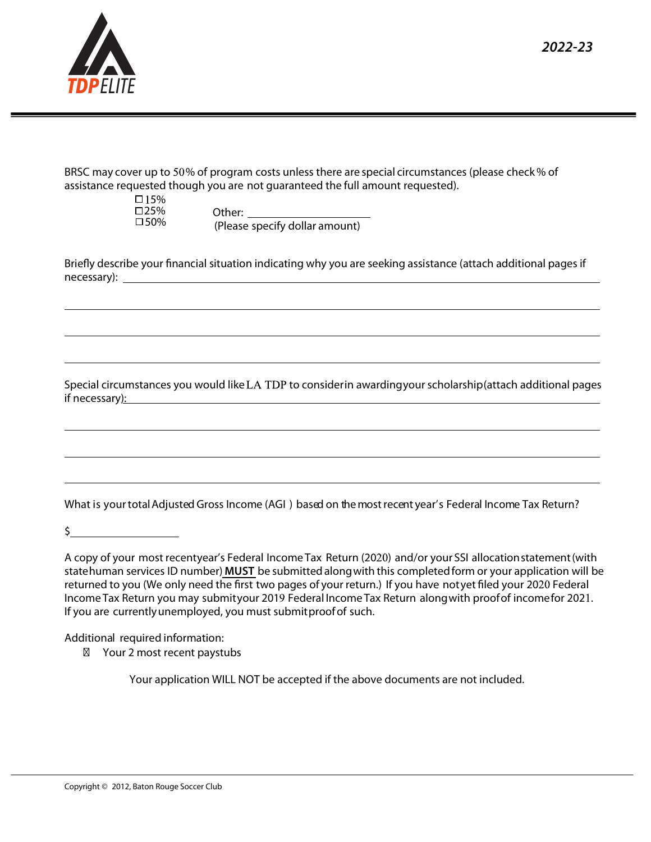

| BRSC may cover up to 50% of program costs unless there are special circumstances (please check % of |
|-----------------------------------------------------------------------------------------------------|
| assistance requested though you are not guaranteed the full amount requested).                      |

| □ 15% |
|-------|
| □25%  |
| □50%  |

Other: (Please specify dollar amount)

Briefly describe your financial situation indicating why you are seeking assistance (attach additional pages if necessary):

Special circumstances you would like LA TDP to consider in awarding your scholarship (attach additional pages if necessary):

What is your total Adjusted Gross Income (AGI ) based on the most recent year's Federal Income Tax Return?

 $\frac{1}{2}$ 

A copy of your most recentyear's Federal Income Tax Return (2020) and/or your SSI allocation statement (with state human services ID number) **MUST** be submitted along with this completed form or your application will be returned to you (We only need the first two pages of your return.) If you have not yet filed your 2020 Federal Income Tax Return you may submit your 2019 Federal Income Tax Return along with proof of income for 2021. If you are currently unemployed, you must submit proof of such.

Additional required information: Your 2 most recent paystubs

Your application WILL NOT be accepted if the above documents are not included.